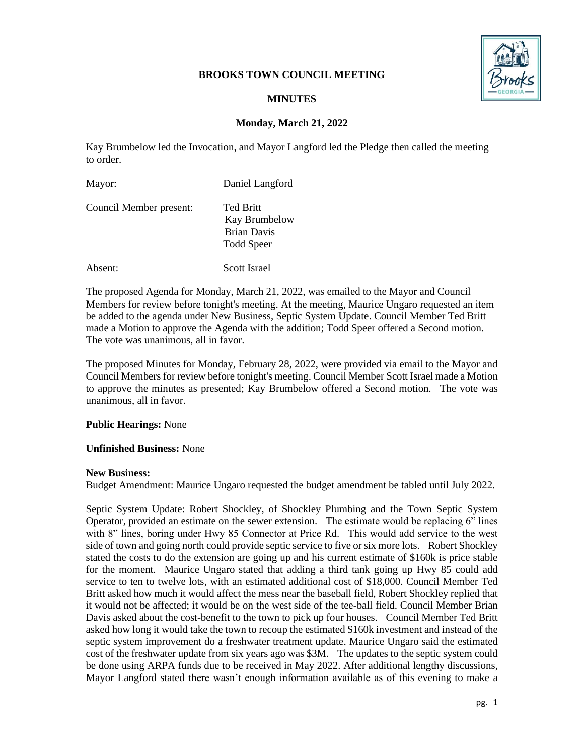### **BROOKS TOWN COUNCIL MEETING**



## **MINUTES**

# **Monday, March 21, 2022**

Kay Brumbelow led the Invocation, and Mayor Langford led the Pledge then called the meeting to order.

| Mayor:                  | Daniel Langford                                                                     |
|-------------------------|-------------------------------------------------------------------------------------|
| Council Member present: | <b>Ted Britt</b><br><b>Kay Brumbelow</b><br><b>Brian Davis</b><br><b>Todd Speer</b> |
| Absent:                 | Scott Israel                                                                        |

The proposed Agenda for Monday, March 21, 2022, was emailed to the Mayor and Council Members for review before tonight's meeting. At the meeting, Maurice Ungaro requested an item be added to the agenda under New Business, Septic System Update. Council Member Ted Britt made a Motion to approve the Agenda with the addition; Todd Speer offered a Second motion. The vote was unanimous, all in favor.

The proposed Minutes for Monday, February 28, 2022, were provided via email to the Mayor and Council Members for review before tonight's meeting. Council Member Scott Israel made a Motion to approve the minutes as presented; Kay Brumbelow offered a Second motion. The vote was unanimous, all in favor.

#### **Public Hearings:** None

#### **Unfinished Business:** None

#### **New Business:**

Budget Amendment: Maurice Ungaro requested the budget amendment be tabled until July 2022.

Septic System Update: Robert Shockley, of Shockley Plumbing and the Town Septic System Operator, provided an estimate on the sewer extension. The estimate would be replacing 6" lines with 8" lines, boring under Hwy 85 Connector at Price Rd. This would add service to the west side of town and going north could provide septic service to five or six more lots. Robert Shockley stated the costs to do the extension are going up and his current estimate of \$160k is price stable for the moment. Maurice Ungaro stated that adding a third tank going up Hwy 85 could add service to ten to twelve lots, with an estimated additional cost of \$18,000. Council Member Ted Britt asked how much it would affect the mess near the baseball field, Robert Shockley replied that it would not be affected; it would be on the west side of the tee-ball field. Council Member Brian Davis asked about the cost-benefit to the town to pick up four houses. Council Member Ted Britt asked how long it would take the town to recoup the estimated \$160k investment and instead of the septic system improvement do a freshwater treatment update. Maurice Ungaro said the estimated cost of the freshwater update from six years ago was \$3M. The updates to the septic system could be done using ARPA funds due to be received in May 2022. After additional lengthy discussions, Mayor Langford stated there wasn't enough information available as of this evening to make a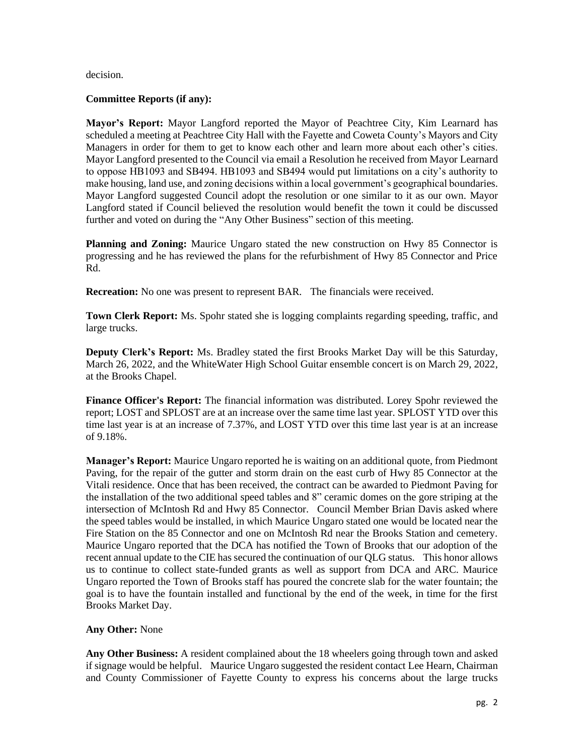decision.

### **Committee Reports (if any):**

**Mayor's Report:** Mayor Langford reported the Mayor of Peachtree City, Kim Learnard has scheduled a meeting at Peachtree City Hall with the Fayette and Coweta County's Mayors and City Managers in order for them to get to know each other and learn more about each other's cities. Mayor Langford presented to the Council via email a Resolution he received from Mayor Learnard to oppose HB1093 and SB494. HB1093 and SB494 would put limitations on a city's authority to make housing, land use, and zoning decisions within a local government's geographical boundaries. Mayor Langford suggested Council adopt the resolution or one similar to it as our own. Mayor Langford stated if Council believed the resolution would benefit the town it could be discussed further and voted on during the "Any Other Business" section of this meeting.

**Planning and Zoning:** Maurice Ungaro stated the new construction on Hwy 85 Connector is progressing and he has reviewed the plans for the refurbishment of Hwy 85 Connector and Price Rd.

**Recreation:** No one was present to represent BAR. The financials were received.

**Town Clerk Report:** Ms. Spohr stated she is logging complaints regarding speeding, traffic, and large trucks.

**Deputy Clerk's Report:** Ms. Bradley stated the first Brooks Market Day will be this Saturday, March 26, 2022, and the WhiteWater High School Guitar ensemble concert is on March 29, 2022, at the Brooks Chapel.

**Finance Officer's Report:** The financial information was distributed. Lorey Spohr reviewed the report; LOST and SPLOST are at an increase over the same time last year. SPLOST YTD over this time last year is at an increase of 7.37%, and LOST YTD over this time last year is at an increase of 9.18%.

**Manager's Report:** Maurice Ungaro reported he is waiting on an additional quote, from Piedmont Paving, for the repair of the gutter and storm drain on the east curb of Hwy 85 Connector at the Vitali residence. Once that has been received, the contract can be awarded to Piedmont Paving for the installation of the two additional speed tables and 8" ceramic domes on the gore striping at the intersection of McIntosh Rd and Hwy 85 Connector. Council Member Brian Davis asked where the speed tables would be installed, in which Maurice Ungaro stated one would be located near the Fire Station on the 85 Connector and one on McIntosh Rd near the Brooks Station and cemetery. Maurice Ungaro reported that the DCA has notified the Town of Brooks that our adoption of the recent annual update to the CIE has secured the continuation of our QLG status. This honor allows us to continue to collect state-funded grants as well as support from DCA and ARC. Maurice Ungaro reported the Town of Brooks staff has poured the concrete slab for the water fountain; the goal is to have the fountain installed and functional by the end of the week, in time for the first Brooks Market Day.

# **Any Other:** None

**Any Other Business:** A resident complained about the 18 wheelers going through town and asked if signage would be helpful. Maurice Ungaro suggested the resident contact Lee Hearn, Chairman and County Commissioner of Fayette County to express his concerns about the large trucks